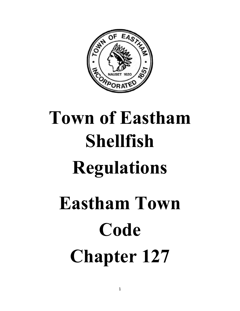

# **Town of Eastham Shellfish Regulations Eastham Town Code Chapter 127**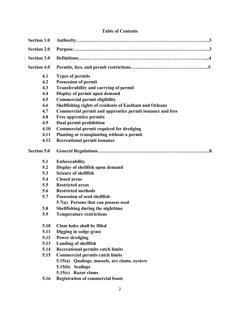# **Table of Contents**

| <b>Section 1.0</b> |                                                           |
|--------------------|-----------------------------------------------------------|
| <b>Section 2.0</b> |                                                           |
| <b>Section 3.0</b> |                                                           |
| <b>Section 4.0</b> |                                                           |
| 4.1                | <b>Types of permits</b>                                   |
| 4.2                | <b>Possession of permit</b>                               |
| 4.3                | Transferability and carrying of permit                    |
| 4.4                | Display of permit upon demand                             |
| 4.5                | <b>Commercial permit eligibility</b>                      |
| 4.6                | Shellfishing rights of residents of Eastham and Orleans   |
| 4.7                | Commercial permit and apprentice permit issuance and fees |
| 4.8                | <b>Free apprentice permits</b>                            |
| 4.9                | <b>Dual permit prohibition</b>                            |
| 4.10               | <b>Commercial permit required for dredging</b>            |
| 4.11               | Planting or transplanting without a permit                |
| 4.12               | <b>Recreational permit issuance</b>                       |
| <b>Section 5.0</b> |                                                           |
| 5.1                | <b>Enforceability</b>                                     |
| 5.2                | Display of shellfish upon demand                          |
| 5.3                | <b>Seizure of shellfish</b>                               |
| 5.4                | <b>Closed areas</b>                                       |
| 5.5                | <b>Restricted areas</b>                                   |
| 5.6                | <b>Restricted methods</b>                                 |
| 5.7                | <b>Possession of seed shellfish</b>                       |
|                    | 5.7(a) Persons that can possess seed                      |
| 5.8                | Shellfishing during the nighttime                         |
| 5.9                | <b>Temperature restrictions</b>                           |
| 5.10               | Clam holes shall be filled                                |
| 5.11               | Digging in sedge grass                                    |
| 5.12               | <b>Power dredging</b>                                     |
| 5.13               | <b>Landing of shellfish</b>                               |
| 5.14               | <b>Recreational permits catch limits</b>                  |
| 5.15               | <b>Commercial permits catch limits</b>                    |
|                    | 5.15(a) Quahogs, mussels, arc clams, oysters              |
|                    | 5.15(b)<br><b>Scallops</b>                                |
|                    | 5.15(c) Razor clams                                       |
| 5.16               | <b>Registration of commercial boats</b>                   |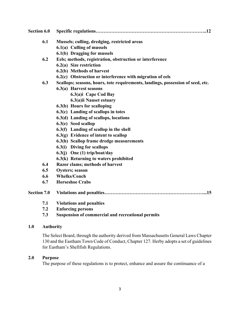| Section 6.0        |                  |                                                                                 |
|--------------------|------------------|---------------------------------------------------------------------------------|
|                    | 6.1              | Mussels; culling, dredging, restricted areas                                    |
|                    |                  | 6.1(a) Culling of mussels                                                       |
|                    |                  | 6.1(b) Dragging for mussels                                                     |
|                    | 6.2              | Eels; methods, registration, obstruction or interference                        |
|                    |                  | 6.2(a) Size restriction                                                         |
|                    |                  | 6.2(b) Methods of harvest                                                       |
|                    |                  | 6.2(c) Obstruction or interference with migration of eels                       |
|                    | 6.3              | Scallops; seasons, hours, tote requirements, landings, possession of seed, etc. |
|                    |                  | 6.3(a) Harvest seasons                                                          |
|                    |                  | 6.3(a)i Cape Cod Bay                                                            |
|                    |                  | 6.3(a)ii Nauset estuary                                                         |
|                    |                  | 6.3(b) Hours for scalloping                                                     |
|                    |                  | 6.3(c) Landing of scallops in totes                                             |
|                    |                  | 6.3(d) Landing of scallops, locations                                           |
|                    |                  | 6.3(e) Seed scallop                                                             |
|                    |                  | 6.3(f) Landing of scallop in the shell                                          |
|                    |                  | $6.3(g)$ Evidence of intent to scallop                                          |
|                    |                  | 6.3(h) Scallop frame dredge measurements                                        |
|                    |                  | 6.3(i) Diving for scallops                                                      |
|                    |                  | $6.3(j)$ One (1) trip/boat/day                                                  |
|                    |                  | 6.3(k) Returning to waters prohibited                                           |
|                    | 6.4              | Razor clams; methods of harvest                                                 |
|                    | 6.5              | <b>Oysters</b> ; season                                                         |
|                    | 6.6              | <b>Whelks/Conch</b>                                                             |
|                    | 6.7              | <b>Horseshoe Crabs</b>                                                          |
| <b>Section 7.0</b> |                  |                                                                                 |
|                    | 7.1              | <b>Violations and penalties</b>                                                 |
|                    | 7.2              | <b>Enforcing persons</b>                                                        |
|                    | 7.3              | <b>Suspension of commercial and recreational permits</b>                        |
| 1.0                | <b>Authority</b> |                                                                                 |

The Select Board, through the authority derived from Massachusetts General Laws Chapter 130 and the Eastham Town Code of Conduct, Chapter 127. Herby adopts a set of guidelines for Eastham's Shellfish Regulations.

# **2.0 Purpose**

The purpose of these regulations is to protect, enhance and assure the continuance of a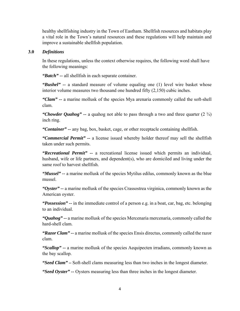healthy shellfishing industry in the Town of Eastham. Shellfish resources and habitats play a vital role in the Town's natural resources and these regulations will help maintain and improve a sustainable shellfish population.

#### **3.0** *Definitions*

In these regulations, unless the context otherwise requires, the following word shall have the following meanings:

*"Batch" --* all shellfish in each separate container.

*"Bushel" --* a standard measure of volume equaling one (1) level wire basket whose interior volume measures two thousand one hundred fifty (2,150) cubic inches.

*"Clam" --* a marine mollusk of the species Mya arenaria commonly called the soft-shell clam.

*"Chowder Quahog"* -- a quahog not able to pass through a two and three quarter (2  $\frac{3}{4}$ ) inch ring.

*"Container" --* any bag, box, basket, cage, or other receptacle containing shellfish.

*"Commercial Permit" --* a license issued whereby holder thereof may sell the shellfish taken under such permits.

*"Recreational Permit" --* a recreational license issued which permits an individual, husband, wife or life partners, and dependent(s), who are domiciled and living under the same roof to harvest shellfish.

*"Mussel" --* a marine mollusk of the species Mytilus edilus, commonly known as the blue mussel.

*"Oyster" --* a marine mollusk of the species Crassostrea virginica, commonly known as the American oyster.

*"Possession" --* in the immediate control of a person e.g. in a boat, car, bag, etc. belonging to an individual.

*"Quahog" --* a marine mollusk of the species Mercenaria mercenaria, commonly called the hard-shell clam.

*"Razor Clam" --* a marine mollusk of the species Ensis directus, commonly called the razor clam.

*"Scallop" --* a marine mollusk of the species Aequipecten irradians, commonly known as the bay scallop.

*"Seed Clam" –* Soft-shell clams measuring less than two inches in the longest diameter.

*"Seed Oyster" --* Oysters measuring less than three inches in the longest diameter.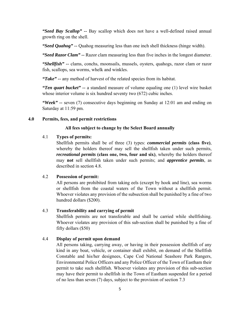*"Seed Bay Scallop" --* Bay scallop which does not have a well-defined raised annual growth ring on the shell.

*"Seed Quahog" --* Quahog measuring less than one inch shell thickness (hinge width).

*"Seed Razor Clam" --* Razor clam measuring less than five inches in the longest diameter.

*"Shellfish" --* clams, conchs, moonsails, mussels, oysters, quahogs, razor clam or razor fish, scallops, sea worms, whelk and winkles.

*"Take" --* any method of harvest of the related species from its habitat.

*"Ten quart bucket" --* a standard measure of volume equaling one (1) level wire basket whose interior volume is six hundred seventy two  $(672)$  cubic inches.

*"Week" --* seven (7) consecutive days beginning on Sunday at 12:01 am and ending on Saturday at 11:59 pm.

## **4.0 Permits, fees, and permit restrictions**

## **All fees subject to change by the Select Board annually**

## 4.1 **Types of permits:**

Shellfish permits shall be of three (3) types: *commercial permits* **(class five)**, whereby the holders thereof may sell the shellfish taken under such permits, *recreational permits* **(class one, two, four and six)**, whereby the holders thereof may **not** sell shellfish taken under such permits; and *apprentice permits*, as described in section 4.8.

# 4.2 **Possession of permit:**

All persons are prohibited from taking eels (except by hook and line), sea worms or shellfish from the coastal waters of the Town without a shellfish permit. Whoever violates any provision of the subsection shall be punished by a fine of two hundred dollars (\$200).

# 4.3 **Transferability and carrying of permit**

Shellfish permits are not transferable and shall be carried while shellfishing. Whoever violates any provision of this sub-section shall be punished by a fine of fifty dollars (\$50)

# 4.4 **Display of permit upon demand**

All persons taking, carrying away, or having in their possession shellfish of any kind in any boat, vehicle, or container shall exhibit, on demand of the Shellfish Constable and his/her designees, Cape Cod National Seashore Park Rangers, Environmental Police Officers and any Police Officer of the Town of Eastham their permit to take such shellfish. Whoever violates any provision of this sub-section may have their permit to shellfish in the Town of Eastham suspended for a period of no less than seven (7) days, subject to the provision of section 7.3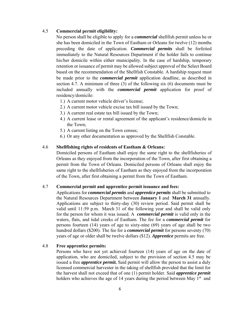#### 4.5 **Commercial permit eligibility:**

No person shall be eligible to apply for a *commercial* shellfish permit unless he or she has been domiciled in the Town of Eastham or Orleans for twelve (12) months preceding the date of application. *Commercial permits* shall be forfeited immediately to the Natural Resources Department if the holder fails to continue his/her domicile within either municipality. In the case of hardship, temporary retention or issuance of permit may be allowed subject approval of the Select Board based on the recommendation of the Shellfish Constable. A hardship request must be made prior to the *commercial permit* application deadline, as described in section 4.7. A minimum of three (3) of the following six (6) documents must be included annually with the *commercial permit* application for proof of residency/domicile:

- 1.) A current motor vehicle driver's license;
- 2.) A current motor vehicle excise tax bill issued by the Town;
- 3.) A current real estate tax bill issued by the Town;
- 4.) A current lease or rental agreement of the applicant's residence/domicile in the Town;
- 5.) A current listing on the Town census;
- 6.) Or any other documentation as approved by the Shellfish Constable.

## 4.6 **Shellfishing rights of residents of Eastham & Orleans:**

Domiciled persons of Eastham shall enjoy the same right to the shellfisheries of Orleans as they enjoyed from the incorporation of the Town, after first obtaining a permit from the Town of Orleans. Domiciled persons of Orleans shall enjoy the same right to the shellfisheries of Eastham as they enjoyed from the incorporation of the Town, after first obtaining a permit from the Town of Eastham.

#### 4.7 **Commercial permit and apprentice permit issuance and fees:**

Applications for *commercial permits* and *apprentice permits* shall be submitted to the Natural Resources Department between **January 1** and **March 31** annually. Applications are subject to thirty-day (30) review period. Said permit shall be valid until 11:59 p.m. March 31 of the following year and shall be valid only for the person for whom it was issued. A *commercial permit* is valid only in the waters, flats, and tidal creeks of Eastham. The fee for a *commercial permit* for persons fourteen (14) years of age to sixty-nine (69) years of age shall be two hundred dollars (\$200). The fee for a *commercial permit* for persons seventy (70) years of age or older shall be twelve dollars (\$12). *Apprentice* permits are free.

#### 4.8 **Free apprentice permits:**

Persons who have not yet achieved fourteen (14) years of age on the date of application, who are domiciled, subject to the provision of section 4.5 may be issued a free *apprentice permit.* Said permit will allow the person to assist a duly licensed commercial harvester in the taking of shellfish provided that the limit for the harvest shall not exceed that of one (1) permit holder. Said *apprentice permit*  holders who achieves the age of 14 years during the period between May  $1<sup>st</sup>$  and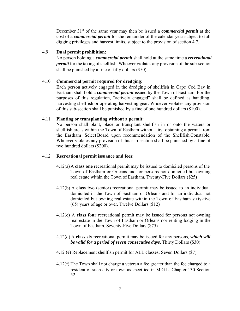December 31st of the same year may then be issued a *commercial permit* at the cost of a *commercial permit* for the remainder of the calendar year subject to full digging privileges and harvest limits, subject to the provision of section 4.7.

#### 4.9 **Dual permit prohibition:**

No person holding a *commercial permit* shall hold at the same time a *recreational permit* for the taking of shellfish. Whoever violates any provision of the sub-section shall be punished by a fine of fifty dollars (\$50).

# 4.10 **Commercial permit required for dredging:**

Each person actively engaged in the dredging of shellfish in Cape Cod Bay in Eastham shall hold a *commercial permit* issued by the Town of Eastham. For the purposes of this regulation, "actively engaged" shall be defined as handling, harvesting shellfish or operating harvesting gear. Whoever violates any provision of this sub-section shall be punished by a fine of one hundred dollars (\$100).

## 4.11 **Planting or transplanting without a permit:**

No person shall plant, place or transplant shellfish in or onto the waters or shellfish areas within the Town of Eastham without first obtaining a permit from the Eastham Select Board upon recommendation of the Shellfish Constable. Whoever violates any provision of this sub-section shall be punished by a fine of two hundred dollars (\$200).

# 4.12 **Recreational permit issuance and fees:**

- 4.12(a) A **class one** recreational permit may be issued to domiciled persons of the Town of Eastham or Orleans and for persons not domiciled but owning real estate within the Town of Eastham. Twenty-Five Dollars (\$25)
- 4.12(b) A **class two** (senior) recreational permit may be issued to an individual domiciled in the Town of Eastham or Orleans and for an individual not domiciled but owning real estate within the Town of Eastham sixty-five (65) years of age or over. Twelve Dollars (\$12)
- 4.12(c) A **class four** recreational permit may be issued for persons not owning real estate in the Town of Eastham or Orleans nor renting lodging in the Town of Eastham. Seventy-Five Dollars (\$75)
- 4.12(d) A **class six** recreational permit may be issued for any persons, *which will be valid for a period of seven consecutive days***.** Thirty Dollars (\$30)
- 4.12 (e) Replacement shellfish permit for ALL classes; Seven Dollars (\$7)
- 4.12(f) The Town shall not charge a veteran a fee greater than the fee charged to a resident of such city or town as specified in M.G.L. Chapter 130 Section 52.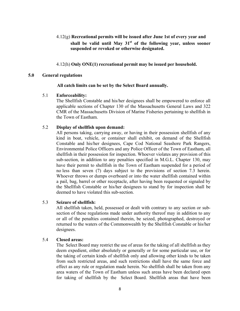- 4.12(g) **Recreational permits will be issued after June 1st of every year and**  shall be valid until May 31<sup>st</sup> of the following year, unless sooner **suspended or revoked or otherwise designated.**
- 4.12(h) **Only ONE(1) recreational permit may be issued per household.**

#### **5.0 General regulations**

#### **All catch limits can be set by the Select Board annually.**

#### 5.1 **Enforceability:**

The Shellfish Constable and his/her designees shall be empowered to enforce all applicable sections of Chapter 130 of the Massachusetts General Laws and 322 CMR of the Massachusetts Division of Marine Fisheries pertaining to shellfish in the Town of Eastham.

#### 5.2 **Display of shellfish upon demand:**

All persons taking, carrying away, or having in their possession shellfish of any kind in boat, vehicle, or container shall exhibit, on demand of the Shellfish Constable and his/her designees, Cape Cod National Seashore Park Rangers, Environmental Police Officers and any Police Officer of the Town of Eastham, all shellfish in their possession for inspection. Whoever violates any provision of this sub-section, in addition to any penalties specified in M.G.L. Chapter 130, may have their permit to shellfish in the Town of Eastham suspended for a period of no less than seven (7) days subject to the provisions of section 7.3 herein. Whoever throws or dumps overboard or into the water shellfish contained within a pail, bag, barrel or other receptacle, after having been requested or signaled by the Shellfish Constable or his/her designees to stand by for inspection shall be deemed to have violated this sub-section.

#### 5.3 **Seizure of shellfish:**

All shellfish taken, held, possessed or dealt with contrary to any section or subsection of these regulations made under authority thereof may in addition to any or all of the penalties contained therein, be seized, photographed, destroyed or returned to the waters of the Commonwealth by the Shellfish Constable or his/her designees.

#### 5.4 **Closed areas:**

The Select Board may restrict the use of areas for the taking of all shellfish as they deem expedient, either absolutely or generally or for some particular use, or for the taking of certain kinds of shellfish only and allowing other kinds to be taken from such restricted areas, and such restrictions shall have the same force and effect as any rule or regulation made herein. No shellfish shall be taken from any area waters of the Town of Eastham unless such areas have been declared open for taking of shellfish by the Select Board. Shellfish areas that have been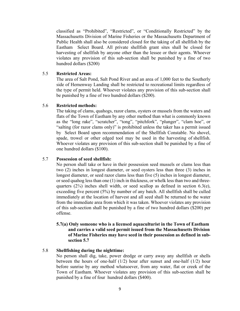classified as "Prohibited", "Restricted", or "Conditionally Restricted" by the Massachusetts Division of Marine Fisheries or the Massachusetts Department of Public Health shall also be considered closed for the taking of all shellfish by the Eastham Select Board. All private shellfish grant sites shall be closed for harvesting of shellfish by anyone other than the lessee or their agents. Whoever violates any provision of this sub-section shall be punished by a fine of two hundred dollars (\$200)

#### 5.5 **Restricted Areas:**

The area of Salt Pond, Salt Pond River and an area of 1,000 feet to the Southerly side of Hemenway Landing shall be restricted to recreational limits regardless of the type of permit held. Whoever violates any provision of this sub-section shall be punished by a fine of two hundred dollars (\$200).

#### 5.6 **Restricted methods:**

The taking of clams, quahogs, razor clams, oysters or mussels from the waters and flats of the Town of Eastham by any other method than what is commonly known as the "long rake", "scratcher", "tong", "pitchfork", "plunger", "clam hoe", or "salting (for razor clams only)" is prohibited unless the taker has a permit issued by Select Board upon recommendation of the Shellfish Constable. No shovel, spade, trowel or other edged tool may be used in the harvesting of shellfish. Whoever violates any provision of this sub-section shall be punished by a fine of one hundred dollars (\$100).

#### 5.7 **Possession of seed shellfish:**

No person shall take or have in their possession seed mussels or clams less than two (2) inches in longest diameter, or seed oysters less than three (3) inches in longest diameter, or seed razor clams less than five (5) inches in longest diameter, or seed quahog less than one (1) inch in thickness, or whelk less than two and threequarters  $(2\frac{3}{4})$  inches shell width, or seed scallop as defined in section 6.3(e), exceeding five percent (5%) by number of any batch. All shellfish shall be culled immediately at the location of harvest and all seed shall be returned to the water from the immediate area from which it was taken. Whoever violates any provision of this sub-section shall be punished by a fine of two hundred dollars (\$200) per offense.

#### **5.7(a) Only someone who is a licensed aquaculturist in the Town of Eastham and carries a valid seed permit issued from the Massachusetts Division of Marine Fisheries may have seed in their possession as defined in sub section 5.7**

#### 5.8 **Shellfishing during the nighttime:**

No person shall dig, take, power dredge or carry away any shellfish or shells between the hours of one-half (1/2) hour after sunset and one-half (1/2) hour before sunrise by any method whatsoever, from any water, flat or creek of the Town of Eastham. Whoever violates any provision of this sub-section shall be punished by a fine of four hundred dollars (\$400).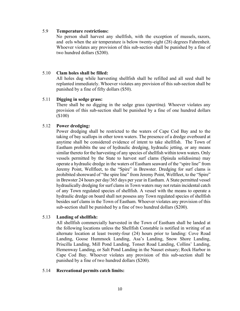#### 5.9 **Temperature restrictions:**

No person shall harvest any shellfish, with the exception of mussels, razors, and eels when the air temperature is below twenty-eight (28) degrees Fahrenheit. Whoever violates any provision of this sub-section shall be punished by a fine of two hundred dollars (\$200).

#### 5.10 **Clam holes shall be filled:**

All holes dug while harvesting shellfish shall be refilled and all seed shall be replanted immediately. Whoever violates any provision of this sub-section shall be punished by a fine of fifty dollars (\$50).

#### 5.11 **Digging in sedge grass:**

There shall be no digging in the sedge grass (*spartina).* Whoever violates any provision of this sub-section shall be punished by a fine of one hundred dollars (\$100)

#### 5.12 **Power dredging:**

Power dredging shall be restricted to the waters of Cape Cod Bay and to the taking of bay scallops in other town waters. The presence of a dredge overboard at anytime shall be considered evidence of intent to take shellfish. The Town of Eastham prohibits the use of hydraulic dredging, hydraulic jetting, or any means similar thereto for the harvesting of any species of shellfish within town waters. Only vessels permitted by the State to harvest surf clams (Spisula solidissima) may operate a hydraulic dredge in the waters of Eastham seaward of the "spire line" from Jeremy Point, Wellfleet, to the "Spire" in Brewster. Dredging for surf clams is prohibited shoreward of "the spire line" from Jeremy Point, Wellfleet, to the "Spire" in Brewster 24 hours per day/365 days per year in Eastham. A State permitted vessel hydraulically dredging for surf clams in Town waters may not retain incidental catch of any Town regulated species of shellfish. A vessel with the means to operate a hydraulic dredge on board shall not possess any Town regulated species of shellfish besides surf clams in the Town of Eastham. Whoever violates any provision of this sub-section shall be punished by a fine of two hundred dollars (\$200).

#### 5.13 **Landing of shellfish:**

All shellfish commercially harvested in the Town of Eastham shall be landed at the following locations unless the Shellfish Constable is notified in writing of an alternate location at least twenty-four (24) hours prior to landing: Cove Road Landing, Goose Hummock Landing, Asa's Landing, Snow Shore Landing, Priscilla Landing, Mill Pond Landing, Tonset Road Landing, Collins' Landing, Hemenway Landing, or Salt Pond Landing in the Nauset estuary; Rock Harbor in Cape Cod Bay. Whoever violates any provision of this sub-section shall be punished by a fine of two hundred dollars (\$200).

#### 5.14 **Recreational permits catch limits:**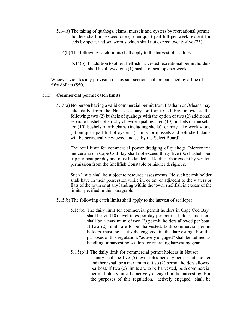- 5.14(a) The taking of quahogs, clams, mussels and oysters by recreational permit holders shall not exceed one (1) ten-quart pail-full per week, except for eels by spear, and sea worms which shall not exceed twenty-five (25)
- 5.14(b) The following catch limits shall apply to the harvest of scallops:
	- 5.14(b)i In addition to other shellfish harvested recreational permit holders shall be allowed one (1) bushel of scallops per week.

Whoever violates any provision of this sub-section shall be punished by a fine of fifty dollars (\$50).

#### 5.15 **Commercial permit catch limits:**

5.15(a) No person having a valid commercial permit from Eastham or Orleans may take daily from the Nauset estuary or Cape Cod Bay in excess the following: two (2) bushels of quahogs with the option of two (2) additional separate bushels of strictly chowder quahogs; ten (10) bushels of mussels; ten (10) bushels of ark clams (including shells); or may take weekly one (1) ten-quart pail-full of oysters. (Limits for mussels and soft-shell clams will be periodically reviewed and set by the Select Board)

 The total limit for commercial power dredging of quahogs (Mercenaria mercenaria) in Cape Cod Bay shall not exceed thirty-five (35) bushels per trip per boat per day and must be landed at Rock Harbor except by written permission from the Shellfish Constable or his/her designees.

Such limits shall be subject to resource assessments. No such permit holder shall have in their possession while in, or on, or adjacent to the waters or flats of the town or at any landing within the town, shellfish in excess of the limits specified in this paragraph.

- 5.15(b) The following catch limits shall apply to the harvest of scallops:
	- 5.15(b)i The daily limit for commercial permit holders in Cape Cod Bay shall be ten (10) level totes per day per permit holder, and there shall be a maximum of two (2) permit holders allowed per boat. If two (2) limits are to be harvested, both commercial permit holders must be actively engaged in the harvesting. For the purposes of this regulation, "actively engaged" shall be defined as handling or harvesting scallops or operating harvesting gear.
	- 5.15(b)ii The daily limit for commercial permit holders in Nauset estuary shall be five (5) level totes per day per permit holder and there shall be a maximum of two (2) permit holders allowed per boat. If two (2) limits are to be harvested, both commercial permit holders must be actively engaged in the harvesting. For the purposes of this regulation, "actively engaged" shall be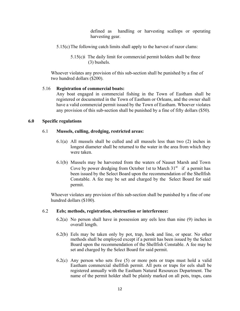defined as handling or harvesting scallops or operating harvesting gear.

- 5.15(c) The following catch limits shall apply to the harvest of razor clams:
	- 5.15(c)i The daily limit for commercial permit holders shall be three (3) bushels.

Whoever violates any provision of this sub-section shall be punished by a fine of two hundred dollars (\$200).

#### 5.16 **Registration of commercial boats:**

Any boat engaged in commercial fishing in the Town of Eastham shall be registered or documented in the Town of Eastham or Orleans, and the owner shall have a valid commercial permit issued by the Town of Eastham. Whoever violates any provision of this sub-section shall be punished by a fine of fifty dollars (\$50).

#### **6.0 Specific regulations**

#### 6.1 **Mussels, culling, dredging, restricted areas:**

- 6.1(a) All mussels shall be culled and all mussels less than two (2) inches in longest diameter shall be returned to the water in the area from which they were taken.
- 6.1(b) Mussels may be harvested from the waters of Nauset Marsh and Town Cove by power dredging from October 1st to March  $31<sup>st</sup>$  if a permit has been issued by the Select Board upon the recommendation of the Shellfish Constable. A fee may be set and charged by the Select Board for said permit.

Whoever violates any provision of this sub-section shall be punished by a fine of one hundred dollars (\$100).

#### 6.2 **Eels; methods, registration, obstruction or interference:**

- 6.2(a) No person shall have in possession any eels less than nine (9) inches in overall length.
- 6.2(b) Eels may be taken only by pot, trap, hook and line, or spear. No other methods shall be employed except if a permit has been issued by the Select Board upon the recommendation of the Shellfish Constable. A fee may be set and charged by the Select Board for said permit.
- 6.2(c) Any person who sets five (5) or more pots or traps must hold a valid Eastham commercial shellfish permit. All pots or traps for eels shall be registered annually with the Eastham Natural Resources Department. The name of the permit holder shall be plainly marked on all pots, traps, cans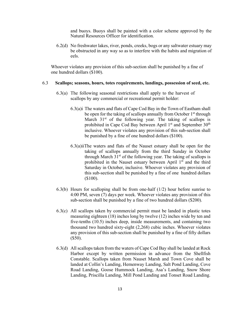and buoys. Buoys shall be painted with a color scheme approved by the Natural Resources Officer for identification.

6.2(d) No freshwater lakes, river, ponds, creeks, bogs or any saltwater estuary may be obstructed in any way so as to interfere with the habits and migration of eels.

Whoever violates any provision of this sub-section shall be punished by a fine of one hundred dollars (\$100).

#### 6.3 **Scallops; seasons, hours, totes requirements, landings, possession of seed, etc.**

- 6.3(a) The following seasonal restrictions shall apply to the harvest of scallops by any commercial or recreational permit holder:
	- 6.3(a)i The waters and flats of Cape Cod Bay in the Town of Eastham shall be open for the taking of scallops annually from October 1<sup>st</sup> through March  $31<sup>st</sup>$  of the following year. The taking of scallops is prohibited in Cape Cod Bay between April  $1<sup>st</sup>$  and September  $30<sup>th</sup>$ inclusive. Whoever violates any provision of this sub-section shall be punished by a fine of one hundred dollars (\$100).
	- 6.3(a)iiThe waters and flats of the Nauset estuary shall be open for the taking of scallops annually from the third Sunday in October through March  $31<sup>st</sup>$  of the following year. The taking of scallops is prohibited in the Nauset estuary between April  $1<sup>st</sup>$  and the third Saturday in October, inclusive. Whoever violates any provision of this sub-section shall be punished by a fine of one hundred dollars (\$100).
- 6.3(b) Hours for scalloping shall be from one-half (1/2) hour before sunrise to 4:00 PM, seven (7) days per week. Whoever violates any provision of this sub-section shall be punished by a fine of two hundred dollars (\$200).
- 6.3(c) All scallops taken by commercial permit must be landed in plastic totes measuring eighteen (18) inches long by twelve (12) inches wide by ten and five-tenths (10.5) inches deep, inside measurements, and containing two thousand two hundred sixty-eight (2,268) cubic inches. Whoever violates any provision of this sub-section shall be punished by a fine of fifty dollars (\$50).
- 6.3(d) All scallops taken from the waters of Cape Cod Bay shall be landed at Rock Harbor except by written permission in advance from the Shellfish Constable. Scallops taken from Nauset Marsh and Town Cove shall be landed at Collin's Landing, Hemenway Landing, Salt Pond Landing, Cove Road Landing, Goose Hummock Landing, Asa's Landing, Snow Shore Landing, Priscilla Landing, Mill Pond Landing and Tonset Road Landing.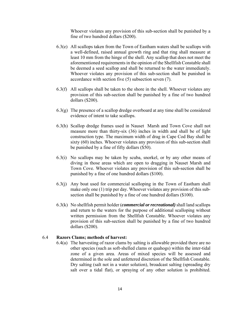Whoever violates any provision of this sub-section shall be punished by a fine of two hundred dollars (\$200).

- 6.3(e) All scallops taken from the Town of Eastham waters shall be scallops with a well-defined, raised annual growth ring and that ring shall measure at least 10 mm from the hinge of the shell. Any scallop that does not meet the aforementioned requirements in the opinion of the Shellfish Constable shall be deemed a seed scallop and shall be returned to the water immediately. Whoever violates any provision of this sub-section shall be punished in accordance with section five (5) subsection seven (7).
- 6.3(f) All scallops shall be taken to the shore in the shell. Whoever violates any provision of this sub-section shall be punished by a fine of two hundred dollars (\$200).
- 6.3(g) The presence of a scallop dredge overboard at any time shall be considered evidence of intent to take scallops.
- 6.3(h) Scallop dredge frames used in Nauset Marsh and Town Cove shall not measure more than thirty-six (36) inches in width and shall be of light construction type. The maximum width of drag in Cape Cod Bay shall be sixty (60) inches. Whoever violates any provision of this sub-section shall be punished by a fine of fifty dollars (\$50).
- 6.3(i) No scallops may be taken by scuba, snorkel, or by any other means of diving in those areas which are open to dragging in Nauset Marsh and Town Cove. Whoever violates any provision of this sub-section shall be punished by a fine of one hundred dollars (\$100).
- 6.3(j) Any boat used for commercial scalloping in the Town of Eastham shall make only one (1) trip per day. Whoever violates any provision of this subsection shall be punished by a fine of one hundred dollars (\$100).
- 6.3(k) No shellfish permit holder (*commercial or recreational)* shall land scallops and return to the waters for the purpose of additional scalloping without written permission from the Shellfish Constable. Whoever violates any provision of this sub-section shall be punished by a fine of two hundred dollars (\$200).

#### 6.4 **Razors Clams; methods of harvest:**

6.4(a) The harvesting of razor clams by salting is allowable provided there are no other species (such as soft-shelled clams or quahogs) within the inter-tidal zone of a given area. Areas of mixed species will be assessed and determined in the sole and unfettered discretion of the Shellfish Constable. Dry salting (salt not in a water solution), broadcast salting (spreading dry salt over a tidal flat), or spraying of any other solution is prohibited.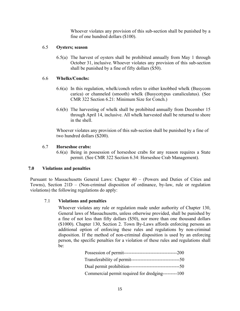Whoever violates any provision of this sub-section shall be punished by a fine of one hundred dollars (\$100).

## 6.5 **Oysters; season**

6.5(a) The harvest of oysters shall be prohibited annually from May 1 through October 31, inclusive. Whoever violates any provision of this sub-section shall be punished by a fine of fifty dollars (\$50).

# 6.6 **Whelks/Conchs:**

- 6.6(a) In this regulation, whelk/conch refers to either knobbed whelk (Busycom carica) or channeled (smooth) whelk (Busycotypus canaliculatus). (See CMR 322 Section 6.21: Minimum Size for Conch.)
- 6.6(b) The harvesting of whelk shall be prohibited annually from December 15 through April 14, inclusive. All whelk harvested shall be returned to shore in the shell.

Whoever violates any provision of this sub-section shall be punished by a fine of two hundred dollars (\$200).

## 6.7 **Horseshoe crabs:**

6.6(a) Being in possession of horseshoe crabs for any reason requires a State permit. (See CMR 322 Section 6.34: Horseshoe Crab Management).

# **7.0 Violations and penalties**

Pursuant to Massachusetts General Laws: Chapter 40 – (Powers and Duties of Cities and Towns), Section 21D – (Non-criminal disposition of ordinance, by-law, rule or regulation violations) the following regulations do apply:

# 7.1 **Violations and penalties**

Whoever violates any rule or regulation made under authority of Chapter 130, General laws of Massachusetts, unless otherwise provided, shall be punished by a fine of not less than fifty dollars (\$50), nor more than one thousand dollars (\$1000). Chapter 130, Section 2. Town By-Laws affords enforcing persons an additional option of enforcing these rules and regulations by non-criminal disposition. If the method of non-criminal disposition is used by an enforcing person, the specific penalties for a violation of these rules and regulations shall be:

| Commercial permit required for dredging---------100 |  |
|-----------------------------------------------------|--|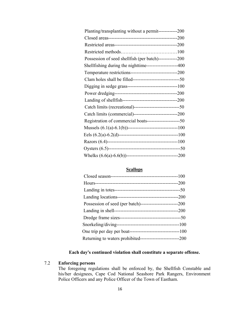| Planting/transplanting without a permit------------200      |  |
|-------------------------------------------------------------|--|
|                                                             |  |
|                                                             |  |
|                                                             |  |
| Possession of seed shellfish (per batch)-------------200    |  |
| Shellfishing during the nighttime-------------------400     |  |
|                                                             |  |
|                                                             |  |
| Digging in sedge grass---------------------------------100  |  |
|                                                             |  |
|                                                             |  |
|                                                             |  |
|                                                             |  |
| Registration of commercial boats-------------------------50 |  |
|                                                             |  |
|                                                             |  |
|                                                             |  |
|                                                             |  |
|                                                             |  |

# **Scallops**

# **Each day's continued violation shall constitute a separate offense.**

## 7.2 **Enforcing persons**

The foregoing regulations shall be enforced by, the Shellfish Constable and his/her designees, Cape Cod National Seashore Park Rangers, Environment Police Officers and any Police Officer of the Town of Eastham.